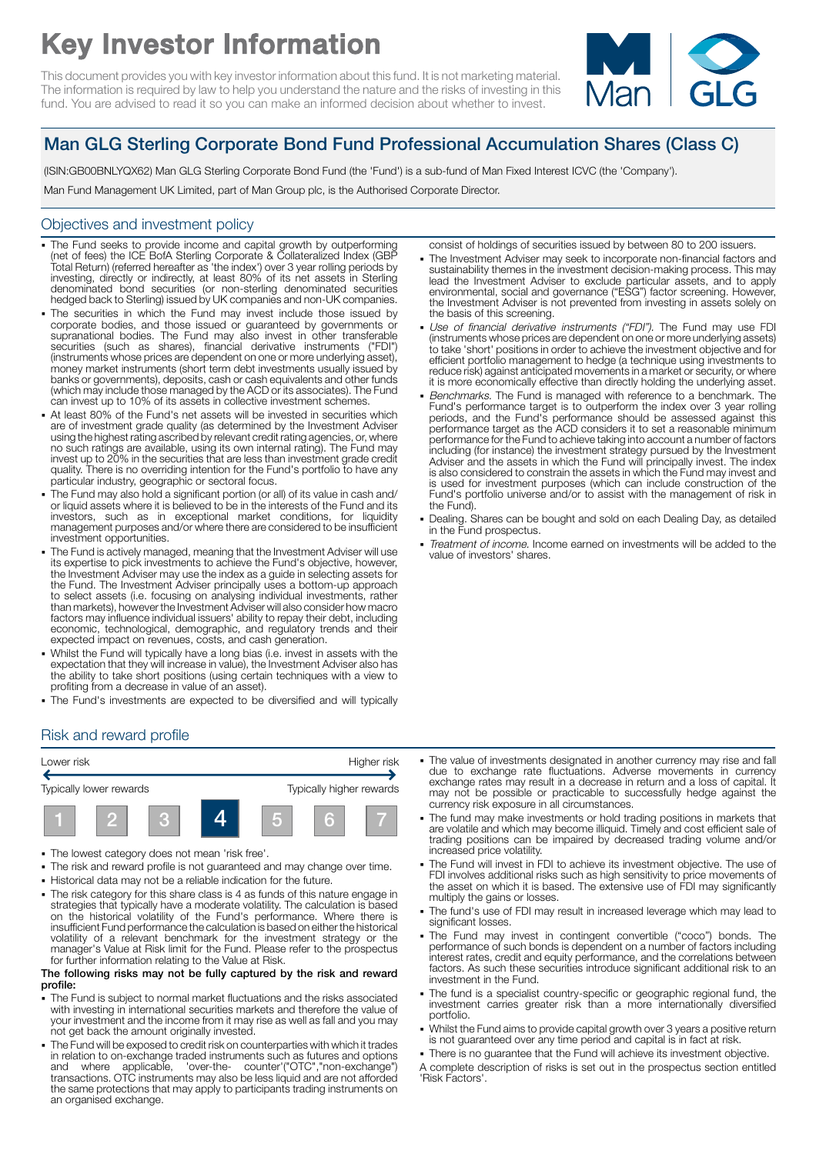# Key Investor Information

This document provides you with key investor information about this fund. It is not marketing material. The information is required by law to help you understand the nature and the risks of investing in this fund. You are advised to read it so you can make an informed decision about whether to invest.



## Man GLG Sterling Corporate Bond Fund Professional Accumulation Shares (Class C)

(ISIN:GB00BNLYQX62) Man GLG Sterling Corporate Bond Fund (the 'Fund') is a sub-fund of Man Fixed Interest ICVC (the 'Company').

Man Fund Management UK Limited, part of Man Group plc, is the Authorised Corporate Director.

#### Objectives and investment policy

- . The Fund seeks to provide income and capital growth by outperforming (net of fees) the ICE BofA Sterling Corporate & Collateralized Index (GBP Total Return) (referred hereafter as 'the index') over 3 year rolling periods by investing, directly or indirectly, at least 80% of its net assets in Sterling denominated bond securities (or non-sterling denominated securities hedged back to Sterling) issued by UK companies and non-UK companies.
- The securities in which the Fund may invest include those issued by corporate bodies, and those issued or guaranteed by governments or supranational bodies. The Fund may also invest in other transferable securities (such as shares), financial derivative instruments ("FDI") (instruments whose prices are dependent on one or more underlying asset), money market instruments (short term debt investments usually issued by banks or governments), deposits, cash or cash equivalents and other funds (which may include those managed by the ACD or its associates). The Fund can invest up to 10% of its assets in collective investment schemes.
- At least 80% of the Fund's net assets will be invested in securities which are of investment grade quality (as determined by the Investment Adviser using the highest rating ascribed by relevant credit rating agencies, or, where no such ratings are available, using its own internal rating). The Fund may invest up to 20% in the securities that are less than investment grade credit quality. There is no overriding intention for the Fund's portfolio to have any particular industry, geographic or sectoral focus.
- The Fund may also hold a significant portion (or all) of its value in cash and/ or liquid assets where it is believed to be in the interests of the Fund and its investors, such as in exceptional market conditions, for liquidity management purposes and/or where there are considered to be insufficient investment opportunities.
- The Fund is actively managed, meaning that the Investment Adviser will use its expertise to pick investments to achieve the Fund's objective, however, the Investment Adviser may use the index as a guide in selecting assets for the Fund. The Investment Adviser principally uses a bottom-up approach to select assets (i.e. focusing on analysing individual investments, rather than markets), however the Investment Adviser will also consider how macro factors may influence individual issuers' ability to repay their debt, including economic, technological, demographic, and regulatory trends and their expected impact on revenues, costs, and cash generation.
- Whilst the Fund will typically have a long bias (i.e. invest in assets with the expectation that they will increase in value), the Investment Adviser also has the ability to take short positions (using certain techniques with a view to profiting from a decrease in value of an asset).
- The Fund's investments are expected to be diversified and will typically

#### Risk and reward profile



- 1 The lowest category does not mean 'risk free'.
- The risk and reward profile is not guaranteed and may change over time.
- 1 Historical data may not be a reliable indication for the future.
- The risk category for this share class is 4 as funds of this nature engage in strategies that typically have a moderate volatility. The calculation is based on the historical volatility of the Fund's performance. Where there is insufficient Fund performance the calculation is based on either the historical volatility of a relevant benchmark for the investment strategy or the manager's Value at Risk limit for the Fund. Please refer to the prospectus for further information relating to the Value at Risk.

#### The following risks may not be fully captured by the risk and reward profile:

- The Fund is subject to normal market fluctuations and the risks associated with investing in international securities markets and therefore the value of your investment and the income from it may rise as well as fall and you may not get back the amount originally invested.
- The Fund will be exposed to credit risk on counterparties with which it trades in relation to on-exchange traded instruments such as futures and options and where applicable, 'over-the- counter'("OTC","non-exchange") transactions. OTC instruments may also be less liquid and are not afforded the same protections that may apply to participants trading instruments on an organised exchange.

consist of holdings of securities issued by between 80 to 200 issuers.

- 1 The Investment Adviser may seek to incorporate non-financial factors and sustainability themes in the investment decision-making process. This may lead the Investment Adviser to exclude particular assets, and to apply environmental, social and governance ("ESG") factor screening. However, the Investment Adviser is not prevented from investing in assets solely on the basis of this screening.
- Use of financial derivative instruments ("FDI"). The Fund may use FDI (instruments whose prices are dependent on one or more underlying assets) to take 'short' positions in order to achieve the investment objective and for efficient portfolio management to hedge (a technique using investments to reduce risk) against anticipated movements in a market or security, or where it is more economically effective than directly holding the underlying asset.
- Benchmarks. The Fund is managed with reference to a benchmark. The Fund's performance target is to outperform the index over 3 year rolling periods, and the Fund's performance should be assessed against this performance target as the ACD considers it to set a reasonable minimum performance for the Fund to achieve taking into account a number of factors<br>including (for instance) the investment strategy pursued by the Investment<br>Adviser and the assets in which the Fund will principally invest. The i is also considered to constrain the assets in which the Fund may invest and is used for investment purposes (which can include construction of the Fund's portfolio universe and/or to assist with the management of risk in the Fund).
- 1 Dealing. Shares can be bought and sold on each Dealing Day, as detailed in the Fund prospectus.
- Treatment of income. Income earned on investments will be added to the value of investors' shares.

- The value of investments designated in another currency may rise and fall due to exchange rate fluctuations. Adverse movements in currency exchange rates may result in a decrease in return and a loss of capital. It may not be possible or practicable to successfully hedge against the currency risk exposure in all circumstances.
- 1 The fund may make investments or hold trading positions in markets that are volatile and which may become illiquid. Timely and cost efficient sale of trading positions can be impaired by decreased trading volume and/or increased price volatility.
- The Fund will invest in FDI to achieve its investment objective. The use of FDI involves additional risks such as high sensitivity to price movements of the asset on which it is based. The extensive use of FDI may significantly multiply the gains or losses.
- The fund's use of FDI may result in increased leverage which may lead to significant losses.
- The Fund may invest in contingent convertible ("coco") bonds. The performance of such bonds is dependent on a number of factors including interest rates, credit and equity performance, and the correlations between factors. As such these securities introduce significant additional risk to an investment in the Fund.
- 1 The fund is a specialist country-specific or geographic regional fund, the investment carries greater risk than a more internationally diversified portfolio.
- Whilst the Fund aims to provide capital growth over 3 years a positive return is not guaranteed over any time period and capital is in fact at risk.
- There is no guarantee that the Fund will achieve its investment objective. A complete description of risks is set out in the prospectus section entitled 'Risk Factors'.